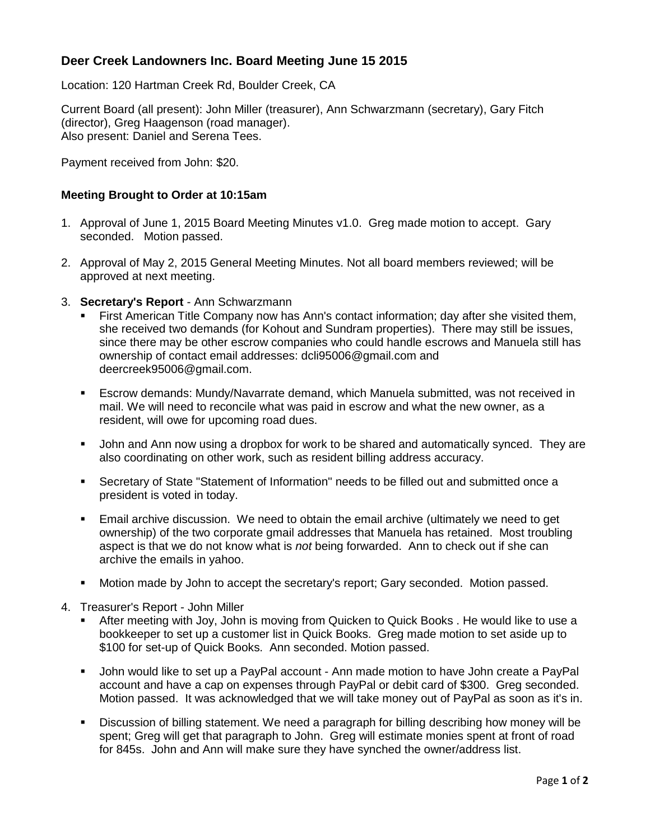# **Deer Creek Landowners Inc. Board Meeting June 15 2015**

Location: 120 Hartman Creek Rd, Boulder Creek, CA

Current Board (all present): John Miller (treasurer), Ann Schwarzmann (secretary), Gary Fitch (director), Greg Haagenson (road manager). Also present: Daniel and Serena Tees.

Payment received from John: \$20.

## **Meeting Brought to Order at 10:15am**

- 1. Approval of June 1, 2015 Board Meeting Minutes v1.0. Greg made motion to accept. Gary seconded. Motion passed.
- 2. Approval of May 2, 2015 General Meeting Minutes. Not all board members reviewed; will be approved at next meeting.
- 3. **Secretary's Report** Ann Schwarzmann
	- First American Title Company now has Ann's contact information; day after she visited them, she received two demands (for Kohout and Sundram properties). There may still be issues, since there may be other escrow companies who could handle escrows and Manuela still has ownership of contact email addresses: dcli95006@gmail.com and deercreek95006@gmail.com.
	- Escrow demands: Mundy/Navarrate demand, which Manuela submitted, was not received in mail. We will need to reconcile what was paid in escrow and what the new owner, as a resident, will owe for upcoming road dues.
	- John and Ann now using a dropbox for work to be shared and automatically synced. They are also coordinating on other work, such as resident billing address accuracy.
	- Secretary of State "Statement of Information" needs to be filled out and submitted once a president is voted in today.
	- Email archive discussion. We need to obtain the email archive (ultimately we need to get ownership) of the two corporate gmail addresses that Manuela has retained. Most troubling aspect is that we do not know what is *not* being forwarded. Ann to check out if she can archive the emails in yahoo.
	- **Motion made by John to accept the secretary's report; Gary seconded. Motion passed.**
- 4. Treasurer's Report John Miller
	- After meeting with Joy, John is moving from Quicken to Quick Books . He would like to use a bookkeeper to set up a customer list in Quick Books. Greg made motion to set aside up to \$100 for set-up of Quick Books. Ann seconded. Motion passed.
	- John would like to set up a PayPal account Ann made motion to have John create a PayPal account and have a cap on expenses through PayPal or debit card of \$300. Greg seconded. Motion passed. It was acknowledged that we will take money out of PayPal as soon as it's in.
	- Discussion of billing statement. We need a paragraph for billing describing how money will be spent; Greg will get that paragraph to John. Greg will estimate monies spent at front of road for 845s. John and Ann will make sure they have synched the owner/address list.